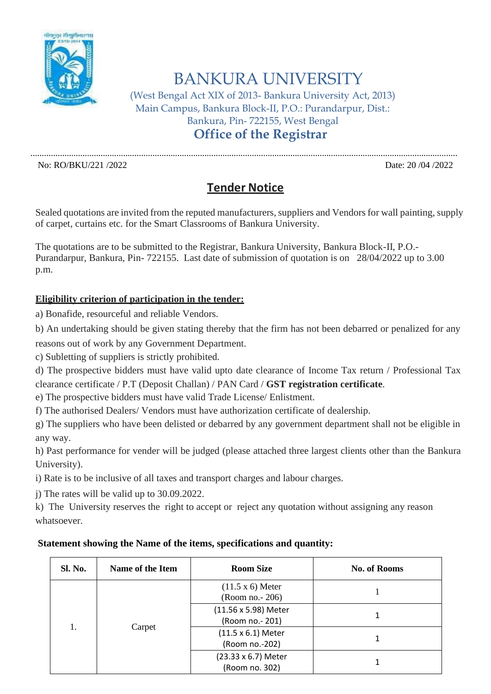

BANKURA UNIVERSITY

(West Bengal Act XIX of 2013- Bankura University Act, 2013) Main Campus, Bankura Block-II, P.O.: Purandarpur, Dist.: Bankura, Pin- 722155, West Bengal

**Office of the Registrar**

............................................................................................................................................................................................. No: RO/BKU/221 /2022 Date: 20 /04 /2022

## **Tender Notice**

Sealed quotations are invited from the reputed manufacturers, suppliers and Vendors for wall painting, supply of carpet, curtains etc. for the Smart Classrooms of Bankura University.

The quotations are to be submitted to the Registrar, Bankura University, Bankura Block-II, P.O.- Purandarpur, Bankura, Pin- 722155. Last date of submission of quotation is on 28/04/2022 up to 3.00 p.m.

## **Eligibility criterion of participation in the tender:**

a) Bonafide, resourceful and reliable Vendors.

b) An undertaking should be given stating thereby that the firm has not been debarred or penalized for any

reasons out of work by any Government Department.

c) Subletting of suppliers is strictly prohibited.

d) The prospective bidders must have valid upto date clearance of Income Tax return / Professional Tax clearance certificate / P.T (Deposit Challan) / PAN Card / **GST registration certificate**.

e) The prospective bidders must have valid Trade License/ Enlistment.

f) The authorised Dealers/ Vendors must have authorization certificate of dealership.

g) The suppliers who have been delisted or debarred by any government department shall not be eligible in any way.

h) Past performance for vender will be judged (please attached three largest clients other than the Bankura University).

i) Rate is to be inclusive of all taxes and transport charges and labour charges.

j) The rates will be valid up to 30.09.2022.

k) The University reserves the right to accept or reject any quotation without assigning any reason whatsoever.

## **Statement showing the Name of the items, specifications and quantity:**

| Sl. No. | Name of the Item | <b>Room Size</b>                            | <b>No. of Rooms</b> |
|---------|------------------|---------------------------------------------|---------------------|
| 1.      | Carpet           | $(11.5 \times 6)$ Meter<br>(Room no. - 206) |                     |
|         |                  | (11.56 x 5.98) Meter<br>(Room no. - 201)    |                     |
|         |                  | (11.5 x 6.1) Meter<br>(Room no.-202)        |                     |
|         |                  | (23.33 x 6.7) Meter<br>(Room no. 302)       |                     |